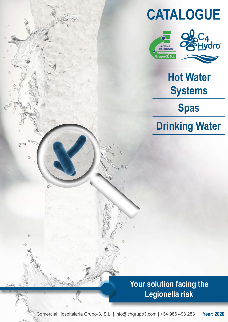# CATALOGUE





Hot Water **Systems** 

Spas

Drinking Water

Your solution facing the Legionella risk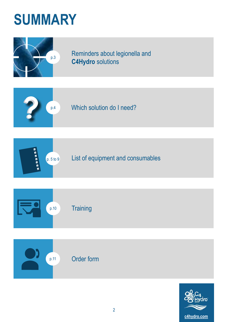# SUMMARY



p.3 Reminders about legionella and C4Hydro solutions









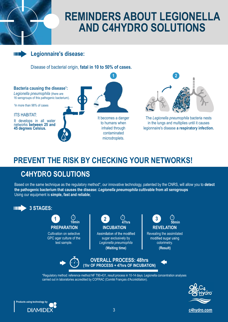## REMINDERS ABOUT LEGIONELLA AND C4HYDRO SOLUTIONS

#### Legionnaire's disease:

(III)

Disease of bacterial origin, fatal in 10 to 50% of cases.



### PREVENT THE RISK BY CHECKING YOUR NETWORKS!

### C4HYDRO SOLUTIONS

Based on the same technique as the regulatory method\*, our innovative technology, patented by the CNRS, will allow you to detect the pathogenic bacterium that causes the disease: Legionella pneumophila cultivable from all serogroups Using our equipment is simple, fast and reliable;



carried out in laboratories accredited by COFRAC (Comité Français d'Accréditation).



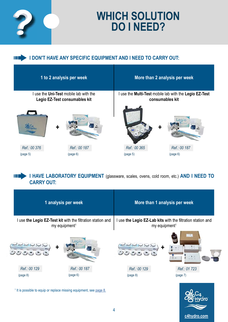

## WHICH SOLUTION DO I NEED?

#### III DON'T HAVE ANY SPECIFIC EQUIPMENT AND I NEED TO CARRY OUT:

| <b>WHICH SOLUTION</b><br><b>DO INEED?</b><br>I DON'T HAVE ANY SPECIFIC EQUIPMENT AND I NEED TO CARRY OUT:<br>$\blacksquare$ |                                                                                                                        |  |  |
|-----------------------------------------------------------------------------------------------------------------------------|------------------------------------------------------------------------------------------------------------------------|--|--|
| 1 to 2 analysis per week                                                                                                    | More than 2 analysis per week                                                                                          |  |  |
| I use the Uni-Test mobile lab with the<br>Legio EZ-Test consumables kit                                                     | I use the Multi-Test mobile lab with the Legio EZ-Test<br>consumables kit                                              |  |  |
|                                                                                                                             | eord                                                                                                                   |  |  |
| Ref.: 00 376<br>Ref.: 00 187<br>(page 6)<br>(page 5)                                                                        | Ref.: 00 365<br>Ref.: 00 187<br>(page 6)<br>(page 5)                                                                   |  |  |
| II E.<br><b>CARRY OUT:</b><br>1 analysis per week                                                                           | I HAVE LABORATORY EQUIPMENT (glassware, scales, ovens, cold room, etc.) AND I NEED TO<br>More than 1 analysis per week |  |  |
| I use the Legio EZ-Test kit with the filtration station and<br>$mv$ equipment <sup>1</sup>                                  | I use the Legio EZ-Lab kits with the filtration station and<br>$mv$ equipment <sup>1</sup>                             |  |  |

|              | 1 analysis per week                                                                      |              | More than 1 analysis per week                                                            |
|--------------|------------------------------------------------------------------------------------------|--------------|------------------------------------------------------------------------------------------|
|              | I use the Legio EZ-Test kit with the filtration station and<br>my equipment <sup>1</sup> |              | I use the Legio EZ-Lab kits with the filtration station and<br>my equipment <sup>1</sup> |
| こうこうこう       | Legio<br>╋                                                                               | シンンののい       | $\sim$ R $_\odot$<br>$W =$<br>T<br>$-3$<br><b>SCIENT</b>                                 |
| Ref.: 00 129 | Ref.: 00 187                                                                             | Ref.: 00 129 | Ref.: 01 723                                                                             |
| (page 8)     | (page 6)                                                                                 | (page 8)     | (page 7)                                                                                 |
|              | <sup>1</sup> It is possible to equip or replace missing equipment, see page 8.           |              | ∼0                                                                                       |

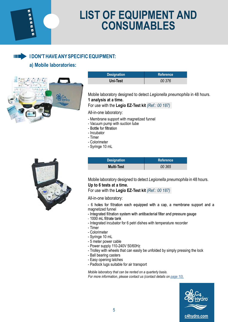Ø **ERES**  $\frac{1}{2}$ 

Ш

# LIST OF EQUIPMENT AND CONSUMABLES **DF EQUIPMENT AND<br>CONSUMABLES<br>ENT:<br>Designation Reference<br>Uni-Test** *Designation***<br>Pratory designed to detect** *Legionella pneumophila* **in 48 hours.**

#### I DON'T HAVE ANY SPECIFIC EQUIPMENT:

#### a) Mobile laboratories:



| <b>Designation</b> | <b>Reference</b> |
|--------------------|------------------|
| Uni-Test           | 00 376           |

Mobile laboratory designed to detect Legionella pneumophila in 48 hours. 1 analysis at a time. Designation<br>
Uni-Test<br>
Tractory designed to detect *Legionella pneumophila* in 48 hours.<br>
at a time.<br>
the Legio EZ-Test kit (*Ref.: 00 187*)<br>
support with magnetized funnel<br>
mp with suction tube<br>
mp with suction tube<br>
ml<br>

For use with the Legio EZ-Test kit (Ref.: 00 187)

All-in-one laboratory:

- Membrane support with magnetized funnel
- Vacuum pump with suction tube<br>- Bottle for filtration
- 
- Incubator
- Timer
- Colorimeter
- Syringe 10 mL

| <b>Designation</b> | <b>Reference</b> |
|--------------------|------------------|
| <b>Multi-Test</b>  | 00 365           |

Mobile laboratory designed to detect Legionella pneumophila in 48 hours. Up to 6 tests at a time.

For use with the Legio EZ-Test kit (Ref.: 00 187)

All-in-one laboratory:

- 6 holes for filtration each equipped with a cap, a membrane support and a magnetized funnel
- Integrated filtration system with antibacterial filter and pressure gauge
- 1000 mL filtrate tank
- Integrated incubator for 6 petri dishes with temperature recorder
- Timer
- Colorimeter
- Syringe 10 mL
- 5 meter power cable
- Power supply 110-240V 50/60Hz
- Trolley with wheels that can easily be unfolded by simply pressing the lock
- Ball bearing casters
- Easy opening latches
- Padlock lugs suitable for air transport

Mobile laboratory that can be rented on a quarterly basis. For more information, please contact us (contact details on page 10).



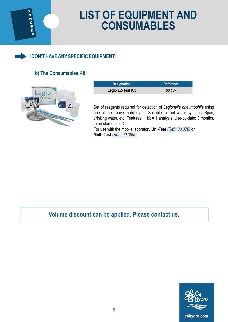

# LIST OF EQUIPMENT AND CONSUMABLES F EQUIPMENT AND<br>
DNSUMABLES<br>
T:<br>
Designation<br>
Designation<br>
Designation<br>
Designation<br>
Reference<br>
Designation<br>
Reference<br>
DO 187<br>
Reference<br>
Reference<br>
Reference<br>
Reference<br>
Reference<br>
Reference<br>
Reference<br>
Reference<br>
Refere



#### b) The Consumables Kit:



| <b>Designation</b> | Reference |
|--------------------|-----------|
| Legio EZ-Test Kit  | 00 187    |

Set of reagents required for detection of Legionella pneumophila using one of the above mobile labs. Suitable for hot water systems: Spas, drinking water, etc. Features: 1 kit = 1 analysis, Use-by-date: 3 months, to be stored at 4°C.

For use with the mobile laboratory Uni-Test (Ref.: 00 376) or Multi-Test (Ref.: 00 365)

Volume discount can be applied. Please contact us.

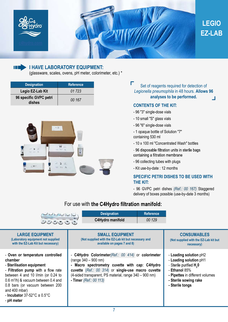

### EZ-LAB LEGIO



#### I HAVE LABORATORY EQUIPMENT:

(glassware, scales, ovens, pH meter, colorimeter, etc.) \*

| <b>Designation</b>               | <b>Reference</b> |
|----------------------------------|------------------|
| Legio EZ-Lab Kit                 | 01 7 23          |
| 96 specific GVPC petri<br>dishes | 00 167           |



Set of reagents required for detection of Legionella pneumophila in 48 hours. Allows 96 analyses to be performed.

#### CONTENTS OF THE KIT:

- 96 "3" single-dose vials
- 10 small "S" glass vials
- 96 "6" single-dose vials
- 1 opaque bottle of Solution "7" containing 530 ml
- 10 x 100 ml "Concentrated Wash" bottles
- 
- 96 collecting tubes with plugs
- Kit use-by-date : 12 months

# SPECIFIC PETRI DISHES TO BE USED WITH THE KIT: analyses to be performed.<br>
CONTENTS OF THE KIT:<br>
-96 "3" single-dose vials<br>
-10 small "S" glass vials<br>
-10 small "S" glass vials<br>
-10 paque bottle of Solution "7"<br>
containing 530 ml<br>
-10 x 100 ml "Concentrated Wash" bottle

#### For use with the C4Hydro filtration manifold:

| - 10 small "S" glass vials<br>- 96 "6" single-dose vials<br>$\sim$ 11<br>- 1 opaque bottle of Solution "7"<br>containing 530 ml<br>- 10 x 100 ml "Concentrated Wash" bottles<br>$\overline{w}$ in<br>$-$ 6 $-$<br>$2 - \frac{1}{2} = \frac{1}{2}$<br>- 96 disposable filtration units in sterile bags<br>6<br>$227 - 24 = 6$<br>containing a filtration membrane<br>- 96 collecting tubes with plugs<br>3 <sup>1</sup><br>DSF<br>2010 年11 年<br>- Kit use-by-date: 12 months<br><b>SPECIFIC PETRI DISHES TO BE USED WITH</b><br><b>THE KIT:</b>         |
|--------------------------------------------------------------------------------------------------------------------------------------------------------------------------------------------------------------------------------------------------------------------------------------------------------------------------------------------------------------------------------------------------------------------------------------------------------------------------------------------------------------------------------------------------------|
|                                                                                                                                                                                                                                                                                                                                                                                                                                                                                                                                                        |
|                                                                                                                                                                                                                                                                                                                                                                                                                                                                                                                                                        |
|                                                                                                                                                                                                                                                                                                                                                                                                                                                                                                                                                        |
|                                                                                                                                                                                                                                                                                                                                                                                                                                                                                                                                                        |
|                                                                                                                                                                                                                                                                                                                                                                                                                                                                                                                                                        |
|                                                                                                                                                                                                                                                                                                                                                                                                                                                                                                                                                        |
|                                                                                                                                                                                                                                                                                                                                                                                                                                                                                                                                                        |
|                                                                                                                                                                                                                                                                                                                                                                                                                                                                                                                                                        |
|                                                                                                                                                                                                                                                                                                                                                                                                                                                                                                                                                        |
|                                                                                                                                                                                                                                                                                                                                                                                                                                                                                                                                                        |
| - 96 GVPC petri dishes (Ref.: 00 167) Staggered<br>delivery of boxes possible (use-by-date 3 months)                                                                                                                                                                                                                                                                                                                                                                                                                                                   |
| For use with the C4Hydro filtration manifold:                                                                                                                                                                                                                                                                                                                                                                                                                                                                                                          |
| <b>Designation</b><br><b>Reference</b>                                                                                                                                                                                                                                                                                                                                                                                                                                                                                                                 |
| ୍ରସ୍ଥାନ କରି<br>ବିଶେଷର<br>C4Hydro manifold<br>00 129                                                                                                                                                                                                                                                                                                                                                                                                                                                                                                    |
|                                                                                                                                                                                                                                                                                                                                                                                                                                                                                                                                                        |
| <b>LARGE EQUIPMENT</b><br><b>SMALL EQUIPMENT</b><br><b>CONSUMABLES</b>                                                                                                                                                                                                                                                                                                                                                                                                                                                                                 |
| (Laboratory equipment not supplied<br>(Not supplied with the EZ-Lab kit but necessary and<br>(Not supplied with the EZ-Lab kit but<br>with the EZ-Lab Kit but necessary)<br>available on pages 7 and 8)                                                                                                                                                                                                                                                                                                                                                |
| necessary)                                                                                                                                                                                                                                                                                                                                                                                                                                                                                                                                             |
| - Oven or temperature controlled<br>- C4Hydro Colorimeter (Ref.: 00 414) or colorimeter<br>- Loading solution pH2<br>$(range 340 - 900 nm)$<br>- Loading solution pH1<br>chamber<br>- Sterile purified H <sub>2</sub> 0<br>- Sterilisation equipment<br>- Macro spectrometry cuvette with cap: C4Hydro<br>- Filtration pump with a flow rate<br>cuvette (Ref.: 00 314) or single-use macro cuvette<br>- Ethanol 85%<br>(4-sided transparent, PS material, range 340 - 900 nm)<br>between 4 and 10 I/min (or 0.24 to<br>- Pipettes in different volumes |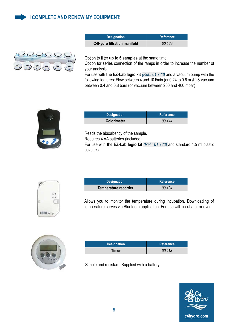#### **I COMPLETE AND RENEW MY EQUIPMENT:** IL ET



| <b>Y EQUIPMENT:</b>                |           |
|------------------------------------|-----------|
|                                    |           |
| <b>Designation</b>                 | Reference |
| <b>C4Hydro filtration manifold</b> | 00 129    |
|                                    |           |
|                                    |           |

Option to filter up to 6 samples at the same time.

Option for series connection of the ramps in order to increase the number of your analysis.

For use with the EZ-Lab legio kit (Ref.: 01 723) and a vacuum pump with the following features: Flow between 4 and 10 I/min (or 0.24 to 0.6 m<sup>3</sup>/h) & vacuum between 0.4 and 0.8 bars (or vacuum between 200 and 400 mbar) **Designation**<br> **Designation**<br> **COMPLIF TO COMPLIST TO CONSIGNATION**<br> **Reference**<br> **COMPLIF TO COMPLIF ASSEMS**<br> **COMPLIF TO COMPLIF ASSEMS**<br> **COMPLIF TO CONSIGNATION**<br> **COMPLIF ASSEMS**<br> **Designation**<br> **Reference**<br> **COLOTIM** 



| <b>Designation</b> | <b>Reference</b> |
|--------------------|------------------|
| <b>Colorimeter</b> | 00 414           |

Reads the absorbency of the sample.

Requires 4 AA batteries (included).

For use with the EZ-Lab legio kit (Ref.: 01 723) and standard 4.5 ml plastic cuvettes. Designation<br>
Designation<br>
Designation<br>
Designation<br>
Reference<br>
Designation<br>
Reference<br>
Reference<br>
Reference<br>
Designation<br>
Reference<br>
Designation<br>
Reference<br>
Designation<br>
Reference<br>
Designation<br>
Reference<br>
Designation<br>
Refe



| <b>Designation</b>   | <b>Reference</b> |
|----------------------|------------------|
| Temperature recorder | 00 404           |

Allows you to monitor the temperature during incubation. Downloading of temperature curves via Bluetooth application. For use with incubator or oven. the EZ-Lab legio kit (*Ref.: 01 723*) and standard 4.5 ml plastic<br>
Designation Reference<br>
Fracture recorder **Reference**<br>
20 404<br>
20 monitor the temperature during incubation. Downloading of<br>
Designation Reference<br>
Timer 20



| <b>Designation</b> | Reference |
|--------------------|-----------|
| Timer              | 00 113    |

Simple and resistant. Supplied with a battery.

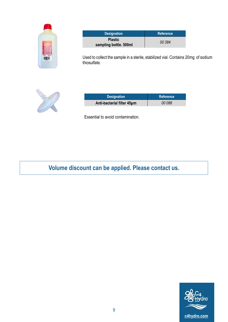| 472211<br><b>Intarts</b>      |  |
|-------------------------------|--|
| ٠<br><b>AV</b><br>٠<br>í<br>í |  |

| <b>Designation</b>                                                             | <b>Reference</b> |
|--------------------------------------------------------------------------------|------------------|
| <b>Plastic</b><br>sampling bottle. 500ml                                       | 00 384           |
| d to collect the sample in a sterile, stabilized vial. Contains 20mg of sodium |                  |
| sulfate.                                                                       |                  |
|                                                                                |                  |
|                                                                                |                  |
| <b>Designation</b>                                                             | <b>Reference</b> |
| Anti-bacterial filter 45um                                                     | 00 088           |
| sential to avoid contamination.                                                |                  |

Used to collect the sample in a sterile, stabilized vial. Contains 20mg of sodium thiosulfate.



| <b>Designation</b>         | Reference |
|----------------------------|-----------|
| Anti-bacterial filter 45um | 00 088    |

Essential to avoid contamination.

Volume discount can be applied. Please contact us.

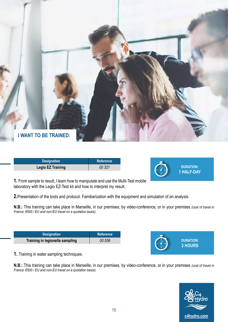

| <b>Designation</b>       | <b>Reference</b> |  |
|--------------------------|------------------|--|
| <b>Legio EZ Training</b> | 00 321           |  |



1. From sample to result, I learn how to manipulate and use the Multi-Test mobile laboratory with the Legio EZ-Test kit and how to interpret my result.

2. Presentation of the tools and protocol. Familiarization with the equipment and simulation of an analysis.

N.B.: This training can take place in Marseille, in our premises, by video-conference, or in your premises (cost of travel in France: €500 / EU and non-EU travel on a quotation basis).

| <b>Designation</b>              | ⊾Reference <b>\</b> |
|---------------------------------|---------------------|
| Training in legionella sampling | 00 556              |



1. Training in water sampling techniques.

N.B.: This training can take place in Marseille, in our premises, by video-conference, or in your premises (cost of travel in France: €500 / EU and non-EU travel on a quotation basis).